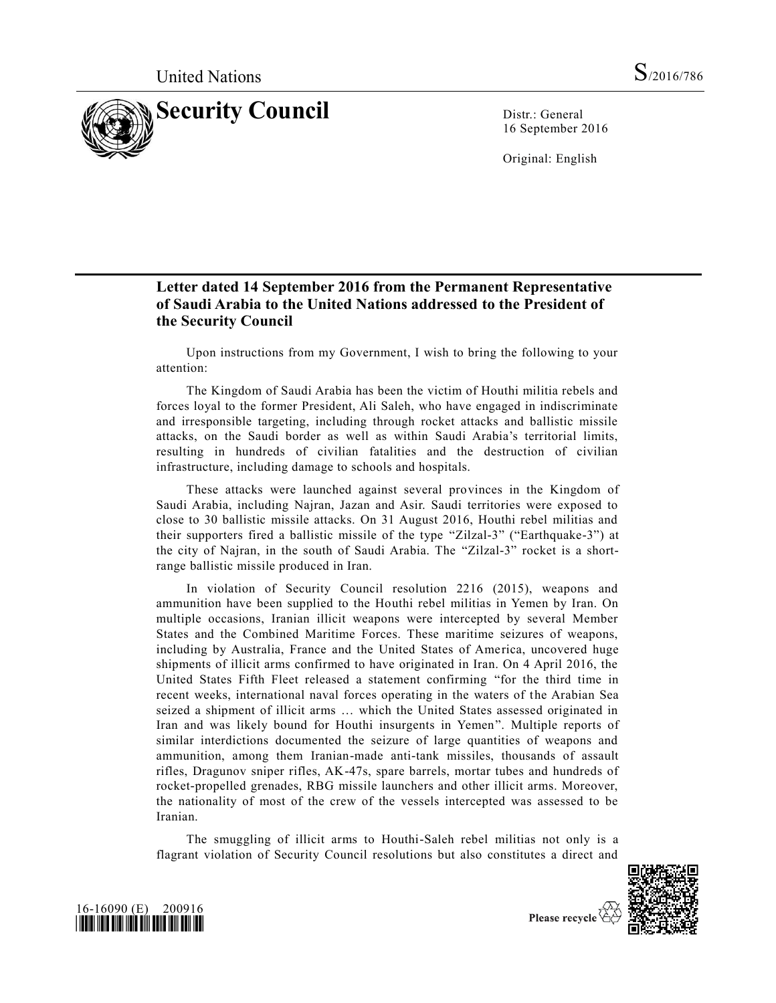

16 September 2016

Original: English

## **Letter dated 14 September 2016 from the Permanent Representative of Saudi Arabia to the United Nations addressed to the President of the Security Council**

Upon instructions from my Government, I wish to bring the following to your attention:

The Kingdom of Saudi Arabia has been the victim of Houthi militia rebels and forces loyal to the former President, Ali Saleh, who have engaged in indiscriminate and irresponsible targeting, including through rocket attacks and ballistic missile attacks, on the Saudi border as well as within Saudi Arabia's territorial limits, resulting in hundreds of civilian fatalities and the destruction of civilian infrastructure, including damage to schools and hospitals.

These attacks were launched against several provinces in the Kingdom of Saudi Arabia, including Najran, Jazan and Asir. Saudi territories were exposed to close to 30 ballistic missile attacks. On 31 August 2016, Houthi rebel militias and their supporters fired a ballistic missile of the type "Zilzal-3" ("Earthquake-3") at the city of Najran, in the south of Saudi Arabia. The "Zilzal-3" rocket is a shortrange ballistic missile produced in Iran.

In violation of Security Council resolution 2216 (2015), weapons and ammunition have been supplied to the Houthi rebel militias in Yemen by Iran. On multiple occasions, Iranian illicit weapons were intercepted by several Member States and the Combined Maritime Forces. These maritime seizures of weapons, including by Australia, France and the United States of America, uncovered huge shipments of illicit arms confirmed to have originated in Iran. On 4 April 2016, the United States Fifth Fleet released a statement confirming "for the third time in recent weeks, international naval forces operating in the waters of the Arabian Sea seized a shipment of illicit arms … which the United States assessed originated in Iran and was likely bound for Houthi insurgents in Yemen". Multiple reports of similar interdictions documented the seizure of large quantities of weapons and ammunition, among them Iranian-made anti-tank missiles, thousands of assault rifles, Dragunov sniper rifles, AK-47s, spare barrels, mortar tubes and hundreds of rocket-propelled grenades, RBG missile launchers and other illicit arms. Moreover, the nationality of most of the crew of the vessels intercepted was assessed to be Iranian.

The smuggling of illicit arms to Houthi-Saleh rebel militias not only is a flagrant violation of Security Council resolutions but also constitutes a direct and





Please recycle  $\overline{\mathcal{C}}$